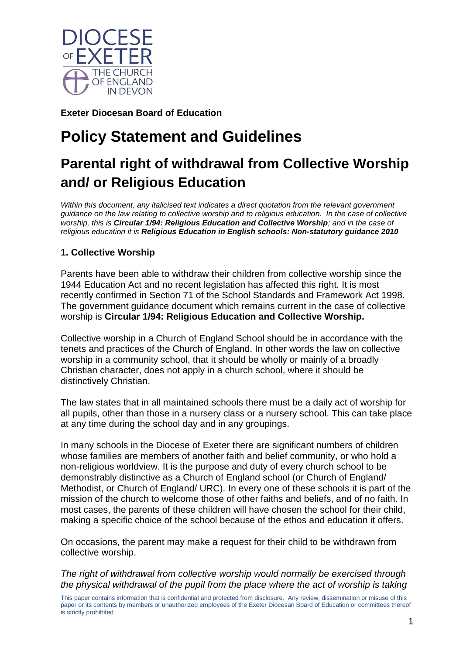

**Exeter Diocesan Board of Education**

# **Policy Statement and Guidelines**

## **Parental right of withdrawal from Collective Worship and/ or Religious Education**

*Within this document, any italicised text indicates a direct quotation from the relevant government guidance on the law relating to collective worship and to religious education. In the case of collective worship, this is Circular 1/94: Religious Education and Collective Worship; and in the case of religious education it is Religious Education in English schools: Non-statutory guidance 2010*

### **1. Collective Worship**

Parents have been able to withdraw their children from collective worship since the 1944 Education Act and no recent legislation has affected this right. It is most recently confirmed in Section 71 of the School Standards and Framework Act 1998. The government guidance document which remains current in the case of collective worship is **Circular 1/94: Religious Education and Collective Worship.**

Collective worship in a Church of England School should be in accordance with the tenets and practices of the Church of England. In other words the law on collective worship in a community school, that it should be wholly or mainly of a broadly Christian character, does not apply in a church school, where it should be distinctively Christian.

The law states that in all maintained schools there must be a daily act of worship for all pupils, other than those in a nursery class or a nursery school. This can take place at any time during the school day and in any groupings.

In many schools in the Diocese of Exeter there are significant numbers of children whose families are members of another faith and belief community, or who hold a non-religious worldview. It is the purpose and duty of every church school to be demonstrably distinctive as a Church of England school (or Church of England/ Methodist, or Church of England/ URC). In every one of these schools it is part of the mission of the church to welcome those of other faiths and beliefs, and of no faith. In most cases, the parents of these children will have chosen the school for their child, making a specific choice of the school because of the ethos and education it offers.

On occasions, the parent may make a request for their child to be withdrawn from collective worship.

*The right of withdrawal from collective worship would normally be exercised through the physical withdrawal of the pupil from the place where the act of worship is taking* 

This paper contains information that is confidential and protected from disclosure. Any review, dissemination or misuse of this paper or its contents by members or unauthorized employees of the Exeter Diocesan Board of Education or committees thereof is strictly prohibited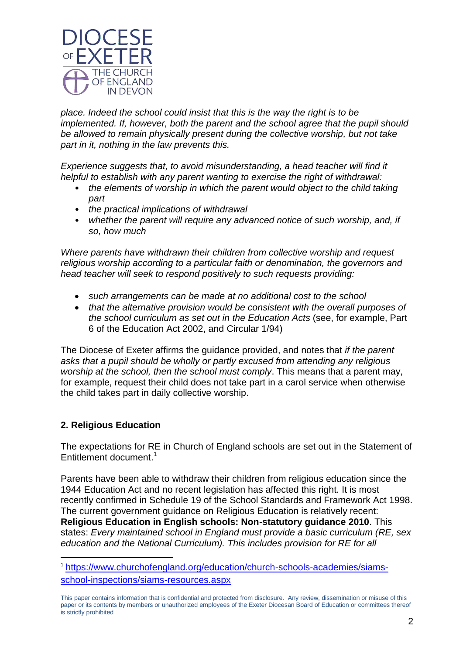

*place. Indeed the school could insist that this is the way the right is to be implemented. If, however, both the parent and the school agree that the pupil should be allowed to remain physically present during the collective worship, but not take part in it, nothing in the law prevents this.*

*Experience suggests that, to avoid misunderstanding, a head teacher will find it helpful to establish with any parent wanting to exercise the right of withdrawal:*

- *the elements of worship in which the parent would object to the child taking part*
- *the practical implications of withdrawal*
- *whether the parent will require any advanced notice of such worship, and, if so, how much*

*Where parents have withdrawn their children from collective worship and request religious worship according to a particular faith or denomination, the governors and head teacher will seek to respond positively to such requests providing:*

- *such arrangements can be made at no additional cost to the school*
- *that the alternative provision would be consistent with the overall purposes of the school curriculum as set out in the Education Acts* (see, for example, Part 6 of the Education Act 2002, and Circular 1/94)

The Diocese of Exeter affirms the guidance provided, and notes that *if the parent asks that a pupil should be wholly or partly excused from attending any religious worship at the school, then the school must comply*. This means that a parent may, for example, request their child does not take part in a carol service when otherwise the child takes part in daily collective worship.

#### **2. Religious Education**

1

The expectations for RE in Church of England schools are set out in the Statement of Entitlement document. 1

Parents have been able to withdraw their children from religious education since the 1944 Education Act and no recent legislation has affected this right. It is most recently confirmed in Schedule 19 of the School Standards and Framework Act 1998. The current government guidance on Religious Education is relatively recent: **Religious Education in English schools: Non-statutory guidance 2010**. This states: *Every maintained school in England must provide a basic curriculum (RE, sex education and the National Curriculum). This includes provision for RE for all* 

<sup>1</sup> [https://www.churchofengland.org/education/church-schools-academies/siams](https://www.churchofengland.org/education/church-schools-academies/siams-school-inspections/siams-resources.aspx)[school-inspections/siams-resources.aspx](https://www.churchofengland.org/education/church-schools-academies/siams-school-inspections/siams-resources.aspx)

This paper contains information that is confidential and protected from disclosure. Any review, dissemination or misuse of this paper or its contents by members or unauthorized employees of the Exeter Diocesan Board of Education or committees thereof is strictly prohibited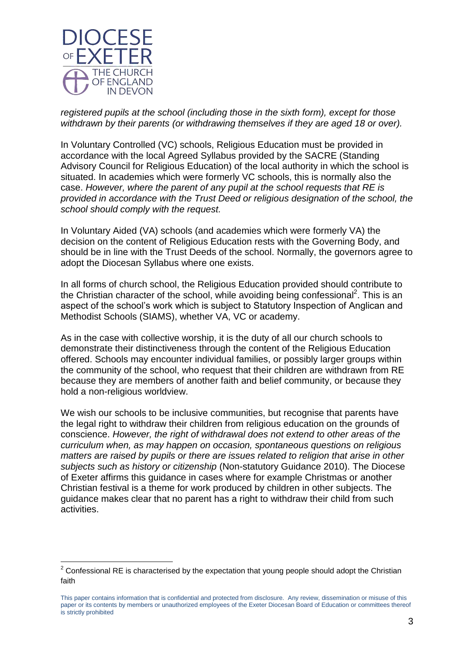

1

*registered pupils at the school (including those in the sixth form), except for those withdrawn by their parents (or withdrawing themselves if they are aged 18 or over).*

In Voluntary Controlled (VC) schools, Religious Education must be provided in accordance with the local Agreed Syllabus provided by the SACRE (Standing Advisory Council for Religious Education) of the local authority in which the school is situated. In academies which were formerly VC schools, this is normally also the case. *However, where the parent of any pupil at the school requests that RE is provided in accordance with the Trust Deed or religious designation of the school, the school should comply with the request.*

In Voluntary Aided (VA) schools (and academies which were formerly VA) the decision on the content of Religious Education rests with the Governing Body, and should be in line with the Trust Deeds of the school. Normally, the governors agree to adopt the Diocesan Syllabus where one exists.

In all forms of church school, the Religious Education provided should contribute to the Christian character of the school, while avoiding being confessional<sup>2</sup>. This is an aspect of the school's work which is subject to Statutory Inspection of Anglican and Methodist Schools (SIAMS), whether VA, VC or academy.

As in the case with collective worship, it is the duty of all our church schools to demonstrate their distinctiveness through the content of the Religious Education offered. Schools may encounter individual families, or possibly larger groups within the community of the school, who request that their children are withdrawn from RE because they are members of another faith and belief community, or because they hold a non-religious worldview.

We wish our schools to be inclusive communities, but recognise that parents have the legal right to withdraw their children from religious education on the grounds of conscience. *However, the right of withdrawal does not extend to other areas of the curriculum when, as may happen on occasion, spontaneous questions on religious matters are raised by pupils or there are issues related to religion that arise in other subjects such as history or citizenship* (Non-statutory Guidance 2010). The Diocese of Exeter affirms this guidance in cases where for example Christmas or another Christian festival is a theme for work produced by children in other subjects. The guidance makes clear that no parent has a right to withdraw their child from such activities.

 $2$  Confessional RE is characterised by the expectation that young people should adopt the Christian faith

This paper contains information that is confidential and protected from disclosure. Any review, dissemination or misuse of this paper or its contents by members or unauthorized employees of the Exeter Diocesan Board of Education or committees thereof is strictly prohibited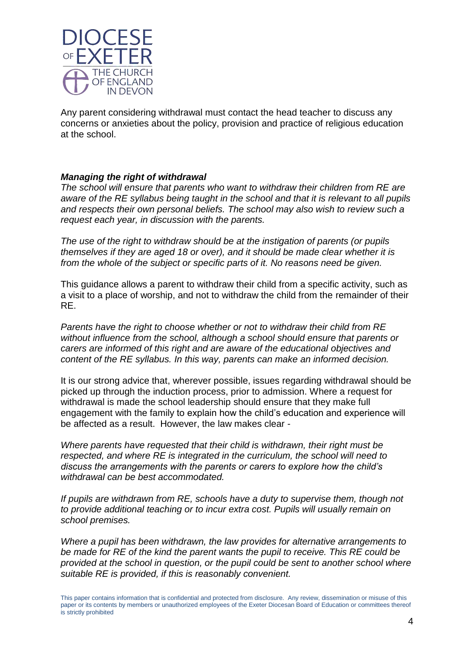

Any parent considering withdrawal must contact the head teacher to discuss any concerns or anxieties about the policy, provision and practice of religious education at the school.

#### *Managing the right of withdrawal*

*The school will ensure that parents who want to withdraw their children from RE are aware of the RE syllabus being taught in the school and that it is relevant to all pupils and respects their own personal beliefs. The school may also wish to review such a request each year, in discussion with the parents.* 

*The use of the right to withdraw should be at the instigation of parents (or pupils themselves if they are aged 18 or over), and it should be made clear whether it is from the whole of the subject or specific parts of it. No reasons need be given.*

This guidance allows a parent to withdraw their child from a specific activity, such as a visit to a place of worship, and not to withdraw the child from the remainder of their RE.

*Parents have the right to choose whether or not to withdraw their child from RE without influence from the school, although a school should ensure that parents or carers are informed of this right and are aware of the educational objectives and content of the RE syllabus. In this way, parents can make an informed decision.* 

It is our strong advice that, wherever possible, issues regarding withdrawal should be picked up through the induction process, prior to admission. Where a request for withdrawal is made the school leadership should ensure that they make full engagement with the family to explain how the child's education and experience will be affected as a result. However, the law makes clear -

*Where parents have requested that their child is withdrawn, their right must be respected, and where RE is integrated in the curriculum, the school will need to discuss the arrangements with the parents or carers to explore how the child's withdrawal can be best accommodated.* 

*If pupils are withdrawn from RE, schools have a duty to supervise them, though not to provide additional teaching or to incur extra cost. Pupils will usually remain on school premises.*

*Where a pupil has been withdrawn, the law provides for alternative arrangements to be made for RE of the kind the parent wants the pupil to receive. This RE could be provided at the school in question, or the pupil could be sent to another school where suitable RE is provided, if this is reasonably convenient.* 

This paper contains information that is confidential and protected from disclosure. Any review, dissemination or misuse of this paper or its contents by members or unauthorized employees of the Exeter Diocesan Board of Education or committees thereof is strictly prohibited